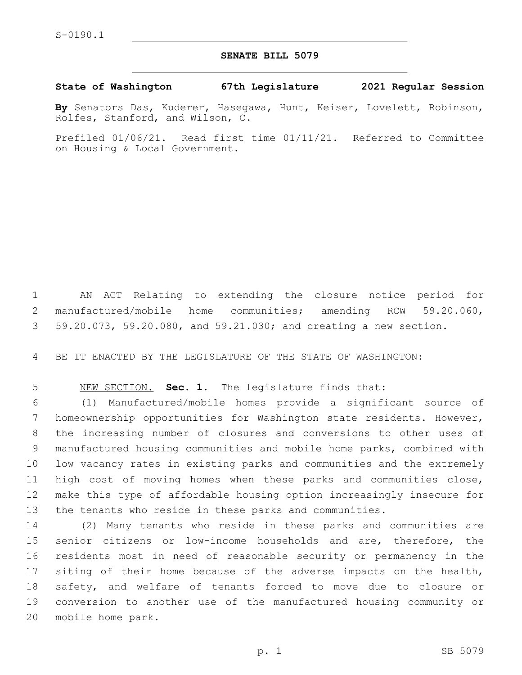## **SENATE BILL 5079**

## **State of Washington 67th Legislature 2021 Regular Session**

**By** Senators Das, Kuderer, Hasegawa, Hunt, Keiser, Lovelett, Robinson, Rolfes, Stanford, and Wilson, C.

Prefiled 01/06/21. Read first time 01/11/21. Referred to Committee on Housing & Local Government.

 AN ACT Relating to extending the closure notice period for manufactured/mobile home communities; amending RCW 59.20.060, 59.20.073, 59.20.080, and 59.21.030; and creating a new section.

BE IT ENACTED BY THE LEGISLATURE OF THE STATE OF WASHINGTON:

NEW SECTION. **Sec. 1.** The legislature finds that:

 (1) Manufactured/mobile homes provide a significant source of homeownership opportunities for Washington state residents. However, the increasing number of closures and conversions to other uses of manufactured housing communities and mobile home parks, combined with low vacancy rates in existing parks and communities and the extremely high cost of moving homes when these parks and communities close, make this type of affordable housing option increasingly insecure for the tenants who reside in these parks and communities.

 (2) Many tenants who reside in these parks and communities are senior citizens or low-income households and are, therefore, the residents most in need of reasonable security or permanency in the 17 siting of their home because of the adverse impacts on the health, safety, and welfare of tenants forced to move due to closure or conversion to another use of the manufactured housing community or 20 mobile home park.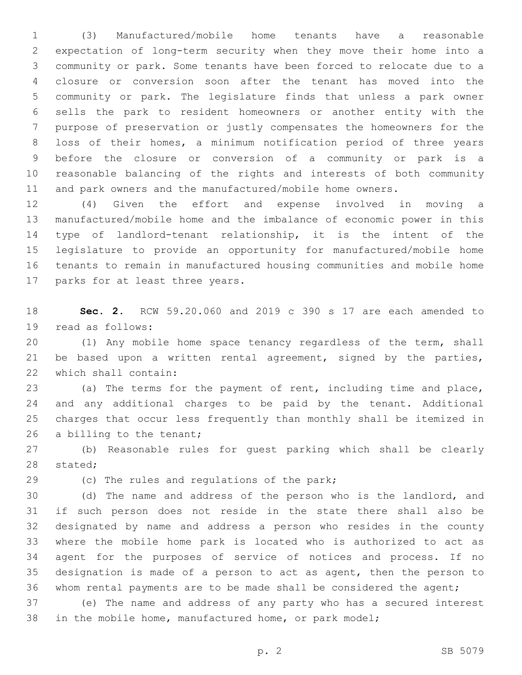(3) Manufactured/mobile home tenants have a reasonable expectation of long-term security when they move their home into a community or park. Some tenants have been forced to relocate due to a closure or conversion soon after the tenant has moved into the community or park. The legislature finds that unless a park owner sells the park to resident homeowners or another entity with the purpose of preservation or justly compensates the homeowners for the loss of their homes, a minimum notification period of three years before the closure or conversion of a community or park is a reasonable balancing of the rights and interests of both community and park owners and the manufactured/mobile home owners.

 (4) Given the effort and expense involved in moving a manufactured/mobile home and the imbalance of economic power in this type of landlord-tenant relationship, it is the intent of the legislature to provide an opportunity for manufactured/mobile home tenants to remain in manufactured housing communities and mobile home 17 parks for at least three years.

 **Sec. 2.** RCW 59.20.060 and 2019 c 390 s 17 are each amended to 19 read as follows:

 (1) Any mobile home space tenancy regardless of the term, shall be based upon a written rental agreement, signed by the parties, 22 which shall contain:

 (a) The terms for the payment of rent, including time and place, and any additional charges to be paid by the tenant. Additional charges that occur less frequently than monthly shall be itemized in 26 a billing to the tenant;

 (b) Reasonable rules for guest parking which shall be clearly 28 stated;

29 (c) The rules and regulations of the park;

 (d) The name and address of the person who is the landlord, and if such person does not reside in the state there shall also be designated by name and address a person who resides in the county where the mobile home park is located who is authorized to act as agent for the purposes of service of notices and process. If no designation is made of a person to act as agent, then the person to whom rental payments are to be made shall be considered the agent;

 (e) The name and address of any party who has a secured interest in the mobile home, manufactured home, or park model;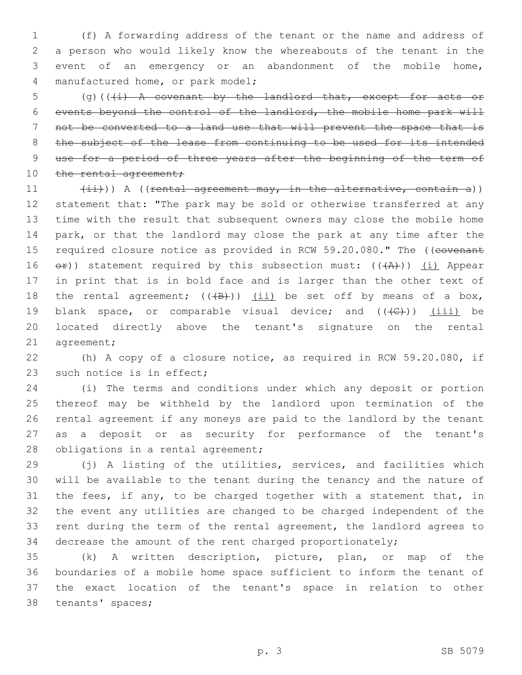(f) A forwarding address of the tenant or the name and address of a person who would likely know the whereabouts of the tenant in the event of an emergency or an abandonment of the mobile home, 4 manufactured home, or park model;

5 (g)( $(\frac{1}{1})$  A covenant by the landlord that, except for acts or events beyond the control of the landlord, the mobile home park will not be converted to a land use that will prevent the space that is 8 the subject of the lease from continuing to be used for its intended use for a period of three years after the beginning of the term of 10 the rental agreement;

11 (ii))) A ((rental agreement may, in the alternative, contain a)) statement that: "The park may be sold or otherwise transferred at any time with the result that subsequent owners may close the mobile home park, or that the landlord may close the park at any time after the 15 required closure notice as provided in RCW 59.20.080." The ((covenant 16  $e^{i\theta}$ ) statement required by this subsection must: (( $\theta$ )) (i) Appear in print that is in bold face and is larger than the other text of 18 the rental agreement;  $((+B)^2)$  (ii) be set off by means of a box, 19 blank space, or comparable visual device; and  $((+C))$  (iii) be located directly above the tenant's signature on the rental 21 agreement;

 (h) A copy of a closure notice, as required in RCW 59.20.080, if 23 such notice is in effect;

 (i) The terms and conditions under which any deposit or portion thereof may be withheld by the landlord upon termination of the rental agreement if any moneys are paid to the landlord by the tenant as a deposit or as security for performance of the tenant's 28 obligations in a rental agreement;

 (j) A listing of the utilities, services, and facilities which will be available to the tenant during the tenancy and the nature of the fees, if any, to be charged together with a statement that, in the event any utilities are changed to be charged independent of the rent during the term of the rental agreement, the landlord agrees to decrease the amount of the rent charged proportionately;

 (k) A written description, picture, plan, or map of the boundaries of a mobile home space sufficient to inform the tenant of the exact location of the tenant's space in relation to other 38 tenants' spaces;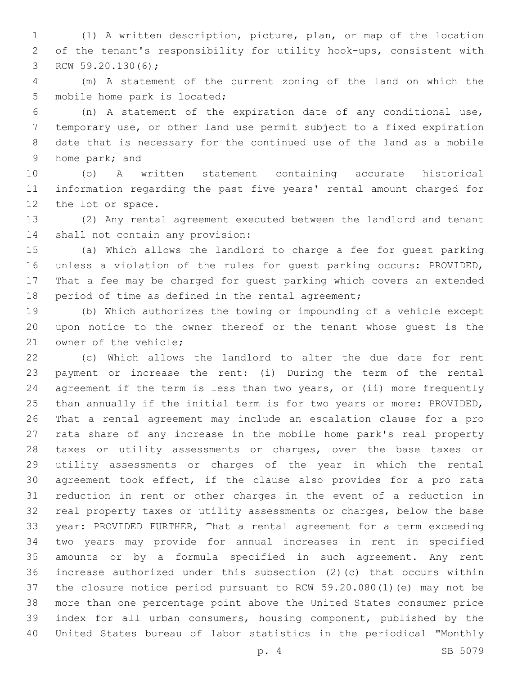(l) A written description, picture, plan, or map of the location of the tenant's responsibility for utility hook-ups, consistent with 3 RCW 59.20.130(6);

 (m) A statement of the current zoning of the land on which the 5 mobile home park is located;

 (n) A statement of the expiration date of any conditional use, temporary use, or other land use permit subject to a fixed expiration date that is necessary for the continued use of the land as a mobile 9 home park; and

 (o) A written statement containing accurate historical information regarding the past five years' rental amount charged for 12 the lot or space.

 (2) Any rental agreement executed between the landlord and tenant 14 shall not contain any provision:

 (a) Which allows the landlord to charge a fee for guest parking unless a violation of the rules for guest parking occurs: PROVIDED, That a fee may be charged for guest parking which covers an extended period of time as defined in the rental agreement;

 (b) Which authorizes the towing or impounding of a vehicle except upon notice to the owner thereof or the tenant whose guest is the 21 owner of the vehicle;

 (c) Which allows the landlord to alter the due date for rent payment or increase the rent: (i) During the term of the rental agreement if the term is less than two years, or (ii) more frequently than annually if the initial term is for two years or more: PROVIDED, That a rental agreement may include an escalation clause for a pro rata share of any increase in the mobile home park's real property taxes or utility assessments or charges, over the base taxes or utility assessments or charges of the year in which the rental agreement took effect, if the clause also provides for a pro rata reduction in rent or other charges in the event of a reduction in real property taxes or utility assessments or charges, below the base year: PROVIDED FURTHER, That a rental agreement for a term exceeding two years may provide for annual increases in rent in specified amounts or by a formula specified in such agreement. Any rent increase authorized under this subsection (2)(c) that occurs within the closure notice period pursuant to RCW 59.20.080(1)(e) may not be more than one percentage point above the United States consumer price index for all urban consumers, housing component, published by the United States bureau of labor statistics in the periodical "Monthly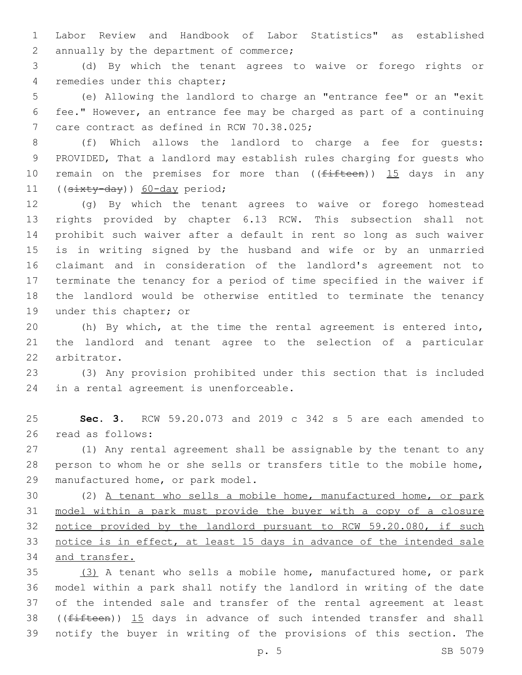Labor Review and Handbook of Labor Statistics" as established 2 annually by the department of commerce;

 (d) By which the tenant agrees to waive or forego rights or 4 remedies under this chapter;

 (e) Allowing the landlord to charge an "entrance fee" or an "exit fee." However, an entrance fee may be charged as part of a continuing 7 care contract as defined in RCW 70.38.025;

 (f) Which allows the landlord to charge a fee for guests: PROVIDED, That a landlord may establish rules charging for guests who 10 remain on the premises for more than ((fifteen)) 15 days in any 11 ((sixty-day)) 60-day period;

 (g) By which the tenant agrees to waive or forego homestead rights provided by chapter 6.13 RCW. This subsection shall not prohibit such waiver after a default in rent so long as such waiver is in writing signed by the husband and wife or by an unmarried claimant and in consideration of the landlord's agreement not to terminate the tenancy for a period of time specified in the waiver if the landlord would be otherwise entitled to terminate the tenancy 19 under this chapter; or

 (h) By which, at the time the rental agreement is entered into, the landlord and tenant agree to the selection of a particular 22 arbitrator.

 (3) Any provision prohibited under this section that is included 24 in a rental agreement is unenforceable.

 **Sec. 3.** RCW 59.20.073 and 2019 c 342 s 5 are each amended to 26 read as follows:

 (1) Any rental agreement shall be assignable by the tenant to any person to whom he or she sells or transfers title to the mobile home, 29 manufactured home, or park model.

 (2) A tenant who sells a mobile home, manufactured home, or park model within a park must provide the buyer with a copy of a closure notice provided by the landlord pursuant to RCW 59.20.080, if such notice is in effect, at least 15 days in advance of the intended sale and transfer.

 (3) A tenant who sells a mobile home, manufactured home, or park model within a park shall notify the landlord in writing of the date of the intended sale and transfer of the rental agreement at least 38 ( $(f<sub>ifteen</sub>)$ ) 15 days in advance of such intended transfer and shall notify the buyer in writing of the provisions of this section. The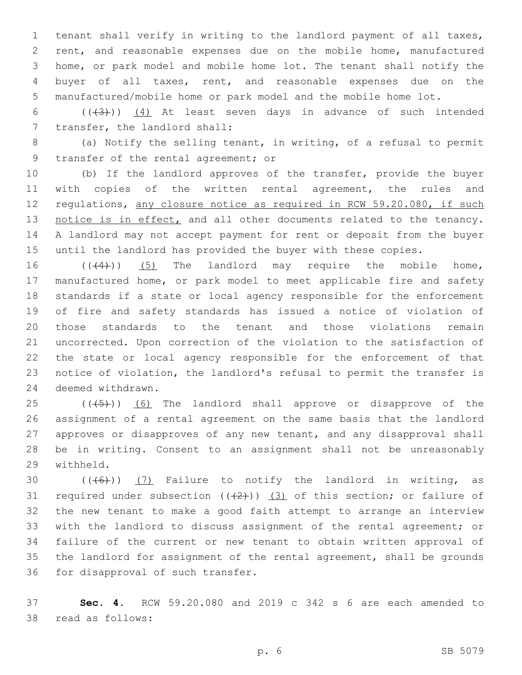tenant shall verify in writing to the landlord payment of all taxes, rent, and reasonable expenses due on the mobile home, manufactured home, or park model and mobile home lot. The tenant shall notify the buyer of all taxes, rent, and reasonable expenses due on the manufactured/mobile home or park model and the mobile home lot.

6 ( $(\overline{+3})$ )  $\underline{(4)}$  At least seven days in advance of such intended 7 transfer, the landlord shall:

 (a) Notify the selling tenant, in writing, of a refusal to permit 9 transfer of the rental agreement; or

 (b) If the landlord approves of the transfer, provide the buyer 11 with copies of the written rental agreement, the rules and regulations, any closure notice as required in RCW 59.20.080, if such 13 notice is in effect, and all other documents related to the tenancy. A landlord may not accept payment for rent or deposit from the buyer until the landlord has provided the buyer with these copies.

 $((\langle 4 \rangle))$  (5) The landlord may require the mobile home, manufactured home, or park model to meet applicable fire and safety standards if a state or local agency responsible for the enforcement of fire and safety standards has issued a notice of violation of those standards to the tenant and those violations remain uncorrected. Upon correction of the violation to the satisfaction of the state or local agency responsible for the enforcement of that notice of violation, the landlord's refusal to permit the transfer is 24 deemed withdrawn.

 ( $(\overline{+5})$ ) (6) The landlord shall approve or disapprove of the assignment of a rental agreement on the same basis that the landlord approves or disapproves of any new tenant, and any disapproval shall be in writing. Consent to an assignment shall not be unreasonably 29 withheld.

 $((+6))$   $(7)$  Failure to notify the landlord in writing, as 31 required under subsection  $((+2+))$   $(3)$  of this section; or failure of the new tenant to make a good faith attempt to arrange an interview with the landlord to discuss assignment of the rental agreement; or failure of the current or new tenant to obtain written approval of the landlord for assignment of the rental agreement, shall be grounds 36 for disapproval of such transfer.

 **Sec. 4.** RCW 59.20.080 and 2019 c 342 s 6 are each amended to 38 read as follows: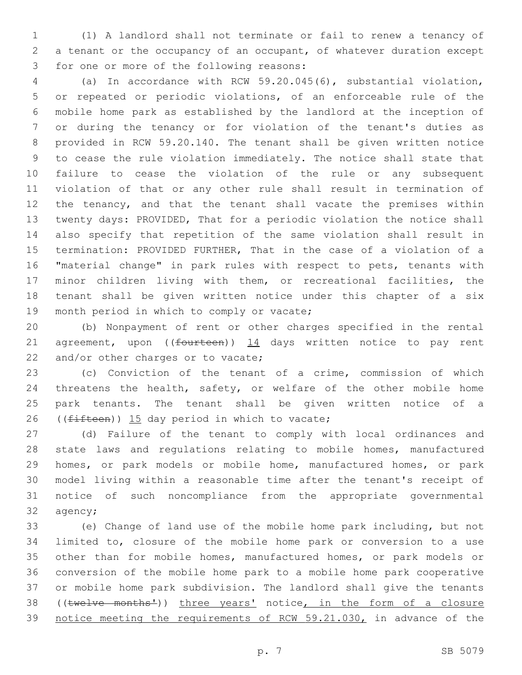(1) A landlord shall not terminate or fail to renew a tenancy of a tenant or the occupancy of an occupant, of whatever duration except 3 for one or more of the following reasons:

 (a) In accordance with RCW 59.20.045(6), substantial violation, or repeated or periodic violations, of an enforceable rule of the mobile home park as established by the landlord at the inception of or during the tenancy or for violation of the tenant's duties as provided in RCW 59.20.140. The tenant shall be given written notice to cease the rule violation immediately. The notice shall state that failure to cease the violation of the rule or any subsequent violation of that or any other rule shall result in termination of the tenancy, and that the tenant shall vacate the premises within twenty days: PROVIDED, That for a periodic violation the notice shall also specify that repetition of the same violation shall result in termination: PROVIDED FURTHER, That in the case of a violation of a "material change" in park rules with respect to pets, tenants with minor children living with them, or recreational facilities, the tenant shall be given written notice under this chapter of a six 19 month period in which to comply or vacate;

 (b) Nonpayment of rent or other charges specified in the rental 21 agreement, upon (( $f$ ourteen))  $14$  days written notice to pay rent 22 and/or other charges or to vacate;

 (c) Conviction of the tenant of a crime, commission of which 24 threatens the health, safety, or welfare of the other mobile home park tenants. The tenant shall be given written notice of a 26 (( $f$ ifteen)) 15 day period in which to vacate;

 (d) Failure of the tenant to comply with local ordinances and state laws and regulations relating to mobile homes, manufactured homes, or park models or mobile home, manufactured homes, or park model living within a reasonable time after the tenant's receipt of notice of such noncompliance from the appropriate governmental 32 agency;

 (e) Change of land use of the mobile home park including, but not limited to, closure of the mobile home park or conversion to a use other than for mobile homes, manufactured homes, or park models or conversion of the mobile home park to a mobile home park cooperative or mobile home park subdivision. The landlord shall give the tenants 38 ((twelve months<sup>1</sup>)) three years' notice, in the form of a closure 39 notice meeting the requirements of RCW 59.21.030, in advance of the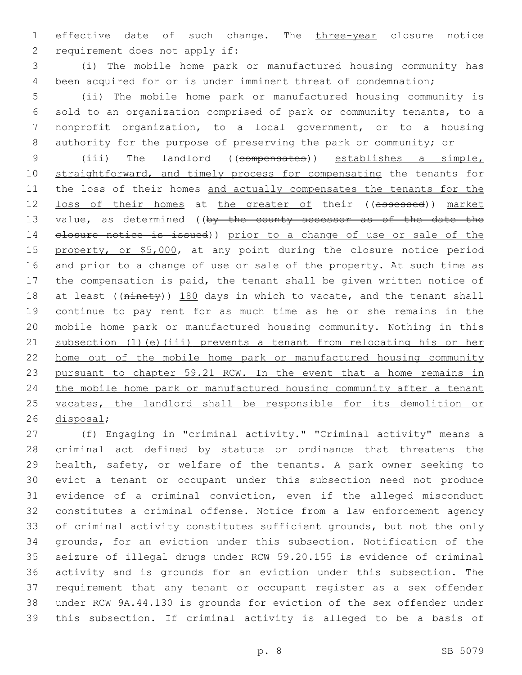1 effective date of such change. The three-year closure notice 2 requirement does not apply if:

 (i) The mobile home park or manufactured housing community has been acquired for or is under imminent threat of condemnation;

 (ii) The mobile home park or manufactured housing community is sold to an organization comprised of park or community tenants, to a nonprofit organization, to a local government, or to a housing authority for the purpose of preserving the park or community; or

 (iii) The landlord ((compensates)) establishes a simple, 10 straightforward, and timely process for compensating the tenants for 11 the loss of their homes and actually compensates the tenants for the 12 loss of their homes at the greater of their ((assessed)) market 13 value, as determined ((by the county assessor as of the date the closure notice is issued)) prior to a change of use or sale of the 15 property, or \$5,000, at any point during the closure notice period and prior to a change of use or sale of the property. At such time as the compensation is paid, the tenant shall be given written notice of 18 at least ((ninety)) 180 days in which to vacate, and the tenant shall continue to pay rent for as much time as he or she remains in the mobile home park or manufactured housing community. Nothing in this subsection (1)(e)(iii) prevents a tenant from relocating his or her home out of the mobile home park or manufactured housing community pursuant to chapter 59.21 RCW. In the event that a home remains in the mobile home park or manufactured housing community after a tenant 25 vacates, the landlord shall be responsible for its demolition or 26 disposal;

 (f) Engaging in "criminal activity." "Criminal activity" means a criminal act defined by statute or ordinance that threatens the health, safety, or welfare of the tenants. A park owner seeking to evict a tenant or occupant under this subsection need not produce evidence of a criminal conviction, even if the alleged misconduct constitutes a criminal offense. Notice from a law enforcement agency of criminal activity constitutes sufficient grounds, but not the only grounds, for an eviction under this subsection. Notification of the seizure of illegal drugs under RCW 59.20.155 is evidence of criminal activity and is grounds for an eviction under this subsection. The requirement that any tenant or occupant register as a sex offender under RCW 9A.44.130 is grounds for eviction of the sex offender under this subsection. If criminal activity is alleged to be a basis of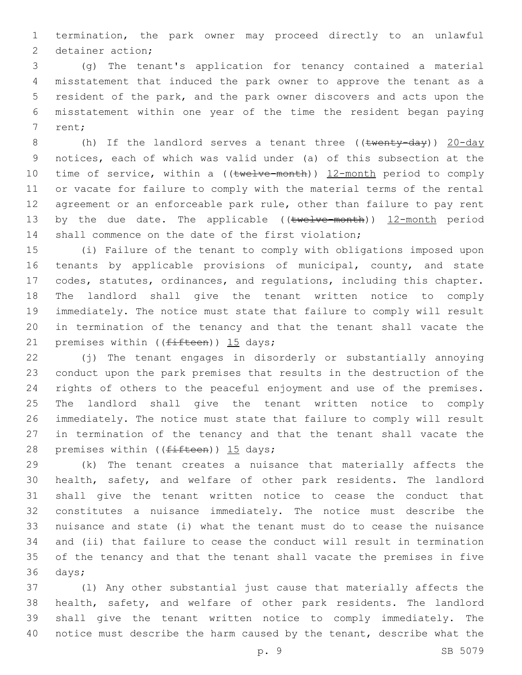termination, the park owner may proceed directly to an unlawful 2 detainer action;

 (g) The tenant's application for tenancy contained a material misstatement that induced the park owner to approve the tenant as a resident of the park, and the park owner discovers and acts upon the misstatement within one year of the time the resident began paying 7 rent;

8 (h) If the landlord serves a tenant three ((twenty-day)) 20-day notices, each of which was valid under (a) of this subsection at the 10 time of service, within a ((twelve-month)) 12-month period to comply or vacate for failure to comply with the material terms of the rental agreement or an enforceable park rule, other than failure to pay rent 13 by the due date. The applicable ((twelve-month)) 12-month period shall commence on the date of the first violation;

 (i) Failure of the tenant to comply with obligations imposed upon tenants by applicable provisions of municipal, county, and state codes, statutes, ordinances, and regulations, including this chapter. The landlord shall give the tenant written notice to comply immediately. The notice must state that failure to comply will result in termination of the tenancy and that the tenant shall vacate the 21 premises within  $(f<sup>if</sup>teen))$  15 days;

 (j) The tenant engages in disorderly or substantially annoying conduct upon the park premises that results in the destruction of the rights of others to the peaceful enjoyment and use of the premises. The landlord shall give the tenant written notice to comply immediately. The notice must state that failure to comply will result in termination of the tenancy and that the tenant shall vacate the 28 premises within ((fifteen)) 15 days;

 (k) The tenant creates a nuisance that materially affects the health, safety, and welfare of other park residents. The landlord shall give the tenant written notice to cease the conduct that constitutes a nuisance immediately. The notice must describe the nuisance and state (i) what the tenant must do to cease the nuisance and (ii) that failure to cease the conduct will result in termination of the tenancy and that the tenant shall vacate the premises in five 36 days;

 (l) Any other substantial just cause that materially affects the health, safety, and welfare of other park residents. The landlord shall give the tenant written notice to comply immediately. The notice must describe the harm caused by the tenant, describe what the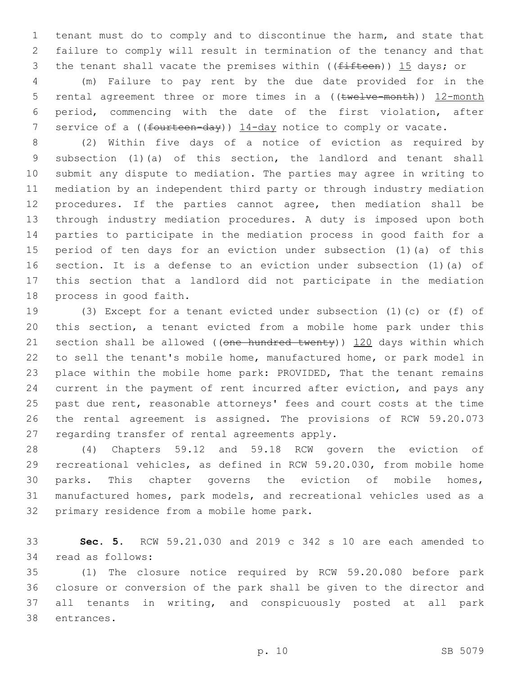tenant must do to comply and to discontinue the harm, and state that failure to comply will result in termination of the tenancy and that 3 the tenant shall vacate the premises within ((fifteen)) 15 days; or

 (m) Failure to pay rent by the due date provided for in the 5 rental agreement three or more times in a ((twelve-month)) 12-month period, commencing with the date of the first violation, after 7 service of a ((fourteen-day)) 14-day notice to comply or vacate.

 (2) Within five days of a notice of eviction as required by subsection (1)(a) of this section, the landlord and tenant shall submit any dispute to mediation. The parties may agree in writing to mediation by an independent third party or through industry mediation procedures. If the parties cannot agree, then mediation shall be through industry mediation procedures. A duty is imposed upon both parties to participate in the mediation process in good faith for a period of ten days for an eviction under subsection (1)(a) of this section. It is a defense to an eviction under subsection (1)(a) of this section that a landlord did not participate in the mediation 18 process in good faith.

 (3) Except for a tenant evicted under subsection (1)(c) or (f) of this section, a tenant evicted from a mobile home park under this 21 section shall be allowed ((one hundred twenty)) 120 days within which to sell the tenant's mobile home, manufactured home, or park model in place within the mobile home park: PROVIDED, That the tenant remains current in the payment of rent incurred after eviction, and pays any past due rent, reasonable attorneys' fees and court costs at the time the rental agreement is assigned. The provisions of RCW 59.20.073 27 regarding transfer of rental agreements apply.

 (4) Chapters 59.12 and 59.18 RCW govern the eviction of recreational vehicles, as defined in RCW 59.20.030, from mobile home parks. This chapter governs the eviction of mobile homes, manufactured homes, park models, and recreational vehicles used as a 32 primary residence from a mobile home park.

 **Sec. 5.** RCW 59.21.030 and 2019 c 342 s 10 are each amended to 34 read as follows:

 (1) The closure notice required by RCW 59.20.080 before park closure or conversion of the park shall be given to the director and all tenants in writing, and conspicuously posted at all park 38 entrances.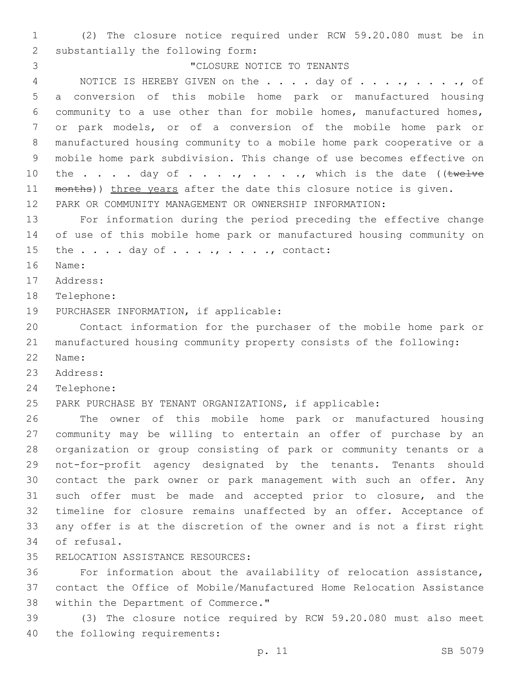1 (2) The closure notice required under RCW 59.20.080 must be in 2 substantially the following form: 3 CLOSURE NOTICE TO TENANTS 4 NOTICE IS HEREBY GIVEN on the . . . . day of . . . ., . . . . , of 5 a conversion of this mobile home park or manufactured housing 6 community to a use other than for mobile homes, manufactured homes, 7 or park models, or of a conversion of the mobile home park or 8 manufactured housing community to a mobile home park cooperative or a 9 mobile home park subdivision. This change of use becomes effective on 10 the  $\ldots$  . . day of  $\ldots$  . ., . . ., which is the date ((twelve 11 months)) three years after the date this closure notice is given. 12 PARK OR COMMUNITY MANAGEMENT OR OWNERSHIP INFORMATION: 13 For information during the period preceding the effective change 14 of use of this mobile home park or manufactured housing community on 15 the  $\ldots$  . day of  $\ldots$ , . . . ., contact: 16 Name: 17 Address: 18 Telephone: 19 PURCHASER INFORMATION, if applicable: 20 Contact information for the purchaser of the mobile home park or 21 manufactured housing community property consists of the following: 22 Name: 23 Address: 24 Telephone: 25 PARK PURCHASE BY TENANT ORGANIZATIONS, if applicable: 26 The owner of this mobile home park or manufactured housing 27 community may be willing to entertain an offer of purchase by an 28 organization or group consisting of park or community tenants or a 29 not-for-profit agency designated by the tenants. Tenants should 30 contact the park owner or park management with such an offer. Any 31 such offer must be made and accepted prior to closure, and the 32 timeline for closure remains unaffected by an offer. Acceptance of 33 any offer is at the discretion of the owner and is not a first right 34 of refusal. 35 RELOCATION ASSISTANCE RESOURCES: 36 For information about the availability of relocation assistance, 37 contact the Office of Mobile/Manufactured Home Relocation Assistance 38 within the Department of Commerce."

39 (3) The closure notice required by RCW 59.20.080 must also meet 40 the following requirements: